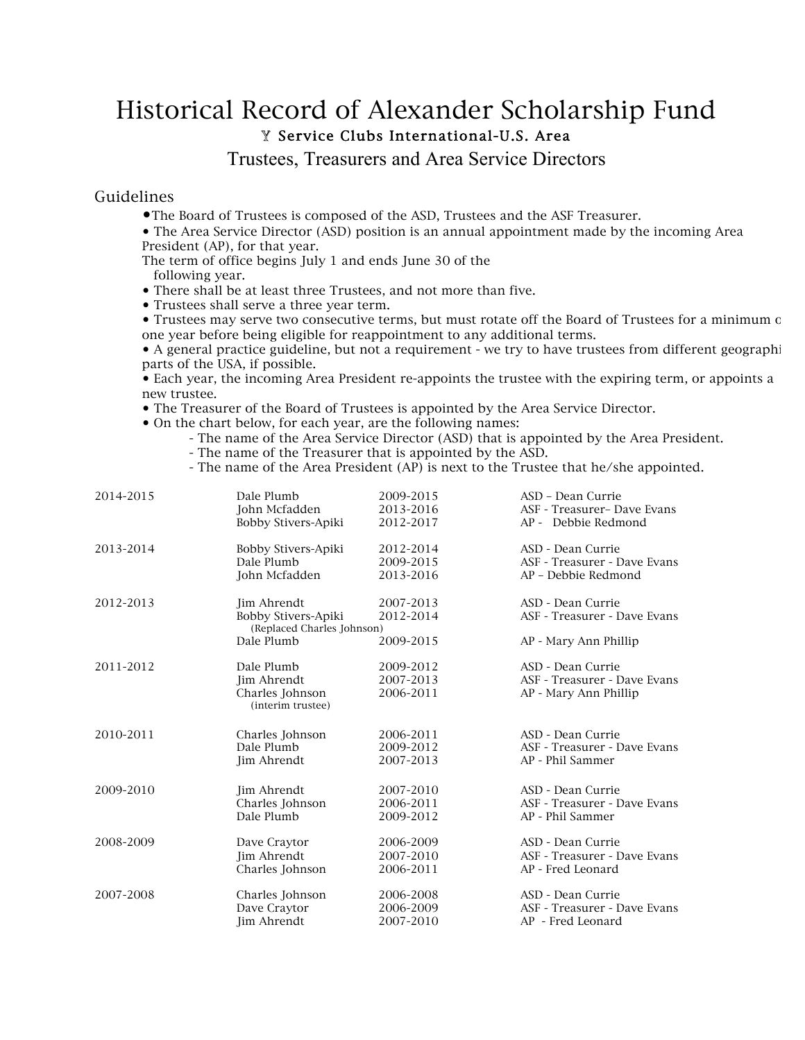## Historical Record of Alexander Scholarship Fund Y Service Clubs International-U.S. Area

Trustees, Treasurers and Area Service Directors

## Guidelines

- •The Board of Trustees is composed of the ASD, Trustees and the ASF Treasurer.
- The Area Service Director (ASD) position is an annual appointment made by the incoming Area President (AP), for that year.

The term of office begins July 1 and ends June 30 of the following year.

- There shall be at least three Trustees, and not more than five.
- Trustees shall serve a three year term.
- Trustees may serve two consecutive terms, but must rotate off the Board of Trustees for a minimum of one year before being eligible for reappointment to any additional terms.

• A general practice guideline, but not a requirement - we try to have trustees from different geographi parts of the USA, if possible.

• Each year, the incoming Area President re-appoints the trustee with the expiring term, or appoints a new trustee.

- The Treasurer of the Board of Trustees is appointed by the Area Service Director.
- On the chart below, for each year, are the following names:
	- The name of the Area Service Director (ASD) that is appointed by the Area President. - The name of the Treasurer that is appointed by the ASD.
	- The name of the Area President (AP) is next to the Trustee that he/she appointed.

| 2014-2015 | Dale Plumb                                                       | 2009-2015              | ASD - Dean Currie                                 |
|-----------|------------------------------------------------------------------|------------------------|---------------------------------------------------|
|           | John Mcfadden                                                    | 2013-2016              | ASF - Treasurer- Dave Evans                       |
|           | Bobby Stivers-Apiki                                              | 2012-2017              | AP - Debbie Redmond                               |
| 2013-2014 | Bobby Stivers-Apiki                                              | 2012-2014              | ASD - Dean Currie                                 |
|           | Dale Plumb                                                       | 2009-2015              | ASF - Treasurer - Dave Evans                      |
|           | John Mcfadden                                                    | 2013-2016              | AP - Debbie Redmond                               |
| 2012-2013 | Jim Ahrendt<br>Bobby Stivers-Apiki<br>(Replaced Charles Johnson) | 2007-2013<br>2012-2014 | ASD - Dean Currie<br>ASF - Treasurer - Dave Evans |
| 2011-2012 | Dale Plumb                                                       | 2009-2015              | AP - Mary Ann Phillip                             |
|           | Dale Plumb                                                       | 2009-2012              | ASD - Dean Currie                                 |
|           | Jim Ahrendt                                                      | 2007-2013              | ASF - Treasurer - Dave Evans                      |
|           | Charles Johnson                                                  | 2006-2011              | AP - Mary Ann Phillip                             |
| 2010-2011 | (interim trustee)<br>Charles Johnson<br>Dale Plumb               | 2006-2011<br>2009-2012 | ASD - Dean Currie<br>ASF - Treasurer - Dave Evans |
| 2009-2010 | Jim Ahrendt                                                      | 2007-2013              | AP - Phil Sammer                                  |
|           | <b>Jim Ahrendt</b>                                               | 2007-2010              | ASD - Dean Currie                                 |
|           | Charles Johnson                                                  | 2006-2011              | ASF - Treasurer - Dave Evans                      |
| 2008-2009 | Dale Plumb                                                       | 2009-2012              | AP - Phil Sammer                                  |
|           | Dave Craytor                                                     | 2006-2009              | ASD - Dean Currie                                 |
|           | Jim Ahrendt                                                      | 2007-2010              | ASF - Treasurer - Dave Evans                      |
| 2007-2008 | Charles Johnson                                                  | 2006-2011              | AP - Fred Leonard                                 |
|           | Charles Johnson                                                  | 2006-2008              | ASD - Dean Currie                                 |
|           | Dave Craytor                                                     | 2006-2009              | ASF - Treasurer - Dave Evans                      |
|           | Jim Ahrendt                                                      | 2007-2010              | AP - Fred Leonard                                 |
|           |                                                                  |                        |                                                   |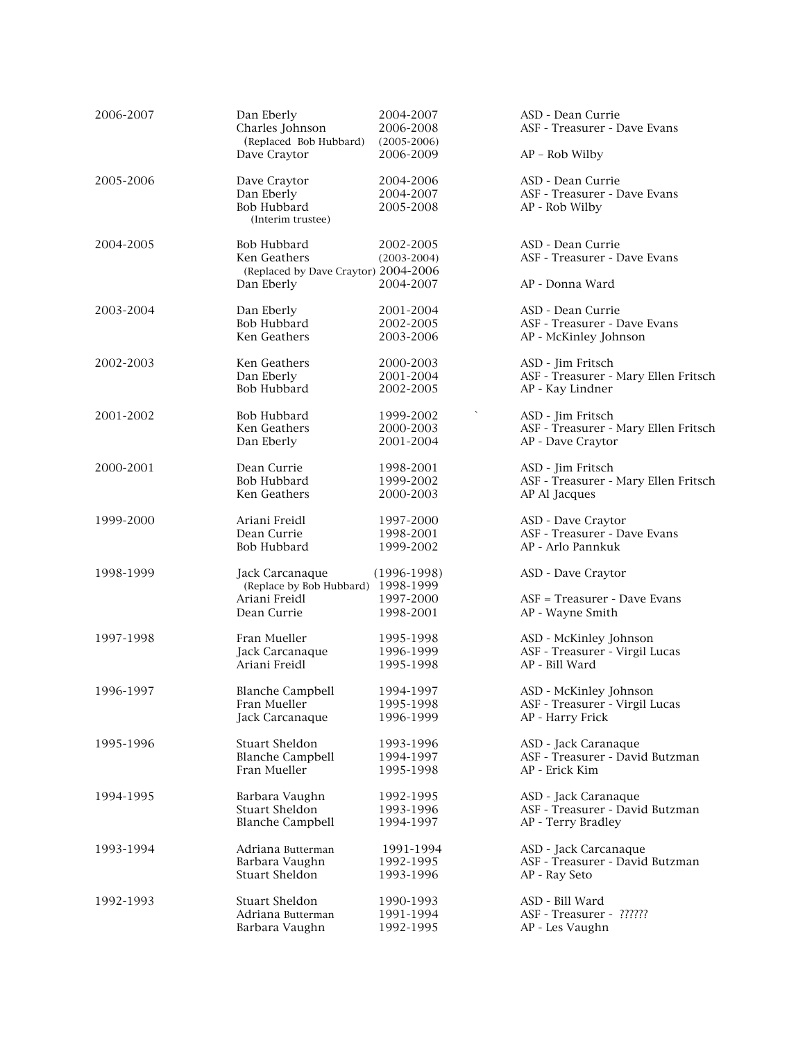| 2006-2007 | Dan Eberly<br>Charles Johnson          | 2004-2007<br>2006-2008       | ASD - Dean Currie<br>ASF - Treasurer - Dave Evans |
|-----------|----------------------------------------|------------------------------|---------------------------------------------------|
|           | (Replaced Bob Hubbard)<br>Dave Craytor | $(2005 - 2006)$<br>2006-2009 | $AP - Rob$ Wilby                                  |
| 2005-2006 | Dave Craytor                           | 2004-2006                    | ASD - Dean Currie                                 |
|           | Dan Eberly                             | 2004-2007                    | ASF - Treasurer - Dave Evans                      |
|           | Bob Hubbard<br>(Interim trustee)       | 2005-2008                    | AP - Rob Wilby                                    |
| 2004-2005 | Bob Hubbard                            | 2002-2005                    | ASD - Dean Currie                                 |
|           | Ken Geathers                           | $(2003 - 2004)$              | ASF - Treasurer - Dave Evans                      |
|           | (Replaced by Dave Craytor) 2004-2006   |                              |                                                   |
|           | Dan Eberly                             | 2004-2007                    | AP - Donna Ward                                   |
| 2003-2004 | Dan Eberly                             | 2001-2004                    | ASD - Dean Currie                                 |
|           | Bob Hubbard                            | 2002-2005                    | ASF - Treasurer - Dave Evans                      |
|           | Ken Geathers                           | 2003-2006                    | AP - McKinley Johnson                             |
| 2002-2003 | Ken Geathers                           | 2000-2003                    | ASD - Jim Fritsch                                 |
|           | Dan Eberly                             | 2001-2004                    | ASF - Treasurer - Mary Ellen Fritsch              |
|           | Bob Hubbard                            | 2002-2005                    | AP - Kay Lindner                                  |
| 2001-2002 | Bob Hubbard                            | 1999-2002                    | ASD - Jim Fritsch                                 |
|           | Ken Geathers                           | 2000-2003                    | ASF - Treasurer - Mary Ellen Fritsch              |
|           | Dan Eberly                             | 2001-2004                    | AP - Dave Craytor                                 |
| 2000-2001 | Dean Currie                            | 1998-2001                    | ASD - Jim Fritsch                                 |
|           | <b>Bob Hubbard</b>                     | 1999-2002                    | ASF - Treasurer - Mary Ellen Fritsch              |
|           | Ken Geathers                           | 2000-2003                    | AP Al Jacques                                     |
| 1999-2000 | Ariani Freidl                          | 1997-2000                    | ASD - Dave Craytor                                |
|           | Dean Currie                            | 1998-2001                    | ASF - Treasurer - Dave Evans                      |
|           | Bob Hubbard                            | 1999-2002                    | AP - Arlo Pannkuk                                 |
| 1998-1999 | Jack Carcanaque                        | $(1996-1998)$                | ASD - Dave Craytor                                |
|           | (Replace by Bob Hubbard) 1998-1999     |                              |                                                   |
|           | Ariani Freidl                          | 1997-2000                    | ASF = Treasurer - Dave Evans                      |
|           | Dean Currie                            | 1998-2001                    | AP - Wayne Smith                                  |
| 1997-1998 | Fran Mueller                           | 1995-1998                    | ASD - McKinley Johnson                            |
|           | Jack Carcanaque                        | 1996-1999                    | ASF - Treasurer - Virgil Lucas                    |
|           | Ariani Freidl                          | 1995-1998                    | AP - Bill Ward                                    |
| 1996-1997 | Blanche Campbell                       | 1994-1997                    | ASD - McKinley Johnson                            |
|           | Fran Mueller                           | 1995-1998                    | ASF - Treasurer - Virgil Lucas                    |
|           | Jack Carcanaque                        | 1996-1999                    | AP - Harry Frick                                  |
| 1995-1996 | Stuart Sheldon                         | 1993-1996                    | ASD - Jack Caranaque                              |
|           | <b>Blanche Campbell</b>                | 1994-1997                    | ASF - Treasurer - David Butzman                   |
|           | Fran Mueller                           | 1995-1998                    | AP - Erick Kim                                    |
| 1994-1995 | Barbara Vaughn                         | 1992-1995                    | ASD - Jack Caranaque                              |
|           | Stuart Sheldon                         | 1993-1996                    | ASF - Treasurer - David Butzman                   |
|           | <b>Blanche Campbell</b>                | 1994-1997                    | AP - Terry Bradley                                |
| 1993-1994 | Adriana Butterman                      | 1991-1994                    | ASD - Jack Carcanaque                             |
|           | Barbara Vaughn                         | 1992-1995                    | ASF - Treasurer - David Butzman                   |
|           | Stuart Sheldon                         | 1993-1996                    | AP - Ray Seto                                     |
| 1992-1993 | Stuart Sheldon                         | 1990-1993                    | ASD - Bill Ward                                   |
|           | Adriana Butterman                      | 1991-1994                    | ASF - Treasurer - ??????                          |
|           | Barbara Vaughn                         | 1992-1995                    | AP - Les Vaughn                                   |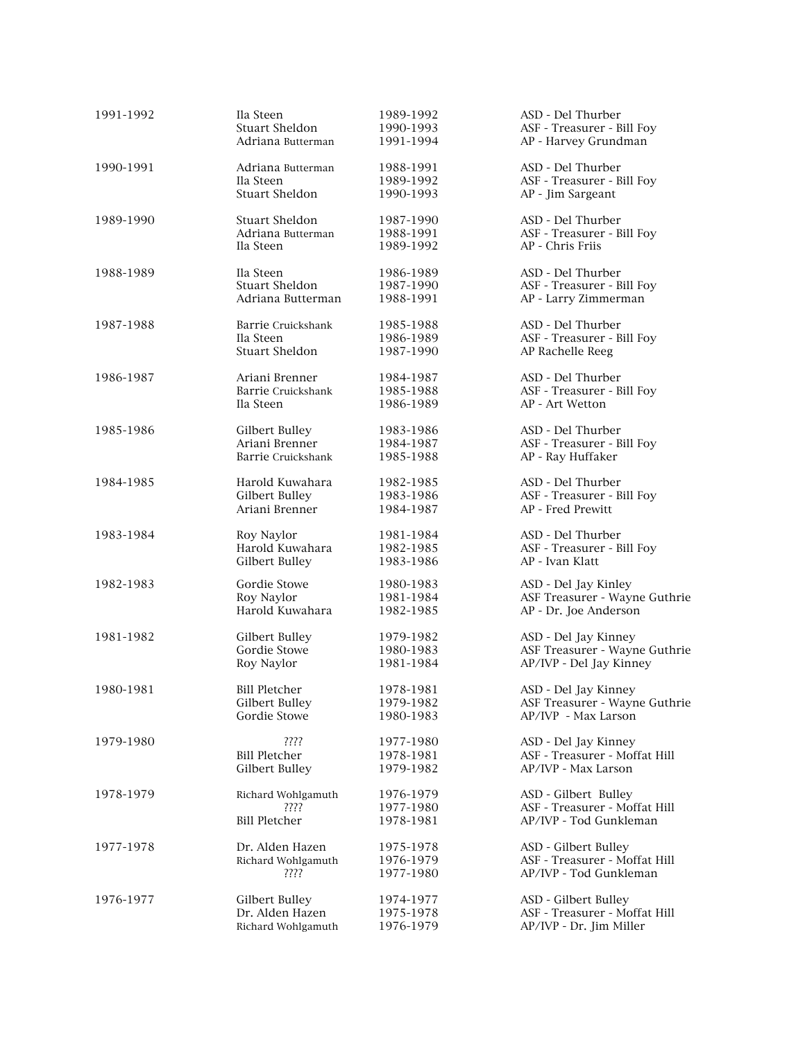| 1991-1992 | Ila Steen            | 1989-1992 | ASD - Del Thurber             |
|-----------|----------------------|-----------|-------------------------------|
|           | Stuart Sheldon       | 1990-1993 | ASF - Treasurer - Bill Foy    |
|           | Adriana Butterman    | 1991-1994 | AP - Harvey Grundman          |
| 1990-1991 | Adriana Butterman    | 1988-1991 | ASD - Del Thurber             |
|           | Ila Steen            | 1989-1992 | ASF - Treasurer - Bill Foy    |
|           | Stuart Sheldon       | 1990-1993 | AP - Jim Sargeant             |
| 1989-1990 | Stuart Sheldon       | 1987-1990 | ASD - Del Thurber             |
|           | Adriana Butterman    | 1988-1991 | ASF - Treasurer - Bill Foy    |
|           | Ila Steen            | 1989-1992 | AP - Chris Friis              |
| 1988-1989 | Ila Steen            | 1986-1989 | ASD - Del Thurber             |
|           | Stuart Sheldon       | 1987-1990 | ASF - Treasurer - Bill Foy    |
|           | Adriana Butterman    | 1988-1991 | AP - Larry Zimmerman          |
| 1987-1988 | Barrie Cruickshank   | 1985-1988 | ASD - Del Thurber             |
|           | Ila Steen            | 1986-1989 | ASF - Treasurer - Bill Foy    |
|           | Stuart Sheldon       | 1987-1990 | AP Rachelle Reeg              |
| 1986-1987 | Ariani Brenner       | 1984-1987 | ASD - Del Thurber             |
|           | Barrie Cruickshank   | 1985-1988 | ASF - Treasurer - Bill Foy    |
|           | Ila Steen            | 1986-1989 | AP - Art Wetton               |
| 1985-1986 | Gilbert Bulley       | 1983-1986 | ASD - Del Thurber             |
|           | Ariani Brenner       | 1984-1987 | ASF - Treasurer - Bill Foy    |
|           | Barrie Cruickshank   | 1985-1988 | AP - Ray Huffaker             |
| 1984-1985 | Harold Kuwahara      | 1982-1985 | ASD - Del Thurber             |
|           | Gilbert Bulley       | 1983-1986 | ASF - Treasurer - Bill Foy    |
|           | Ariani Brenner       | 1984-1987 | AP - Fred Prewitt             |
| 1983-1984 | Roy Naylor           | 1981-1984 | ASD - Del Thurber             |
|           | Harold Kuwahara      | 1982-1985 | ASF - Treasurer - Bill Foy    |
|           | Gilbert Bulley       | 1983-1986 | AP - Ivan Klatt               |
| 1982-1983 | Gordie Stowe         | 1980-1983 | ASD - Del Jay Kinley          |
|           | Roy Naylor           | 1981-1984 | ASF Treasurer - Wayne Guthrie |
|           | Harold Kuwahara      | 1982-1985 | AP - Dr. Joe Anderson         |
| 1981-1982 | Gilbert Bulley       | 1979-1982 | ASD - Del Jay Kinney          |
|           | Gordie Stowe         | 1980-1983 | ASF Treasurer - Wayne Guthrie |
|           | Roy Naylor           | 1981-1984 | AP/IVP - Del Jay Kinney       |
| 1980-1981 | <b>Bill Pletcher</b> | 1978-1981 | ASD - Del Jay Kinney          |
|           | Gilbert Bulley       | 1979-1982 | ASF Treasurer - Wayne Guthrie |
|           | Gordie Stowe         | 1980-1983 | AP/IVP - Max Larson           |
| 1979-1980 | ????                 | 1977-1980 | ASD - Del Jay Kinney          |
|           | <b>Bill Pletcher</b> | 1978-1981 | ASF - Treasurer - Moffat Hill |
|           | Gilbert Bulley       | 1979-1982 | AP/IVP - Max Larson           |
| 1978-1979 | Richard Wohlgamuth   | 1976-1979 | ASD - Gilbert Bulley          |
|           | ????                 | 1977-1980 | ASF - Treasurer - Moffat Hill |
|           | <b>Bill Pletcher</b> | 1978-1981 | AP/IVP - Tod Gunkleman        |
| 1977-1978 | Dr. Alden Hazen      | 1975-1978 | ASD - Gilbert Bulley          |
|           | Richard Wohlgamuth   | 1976-1979 | ASF - Treasurer - Moffat Hill |
|           | ????                 | 1977-1980 | AP/IVP - Tod Gunkleman        |
| 1976-1977 | Gilbert Bulley       | 1974-1977 | ASD - Gilbert Bulley          |
|           | Dr. Alden Hazen      | 1975-1978 | ASF - Treasurer - Moffat Hill |
|           | Richard Wohlgamuth   | 1976-1979 | AP/IVP - Dr. Jim Miller       |